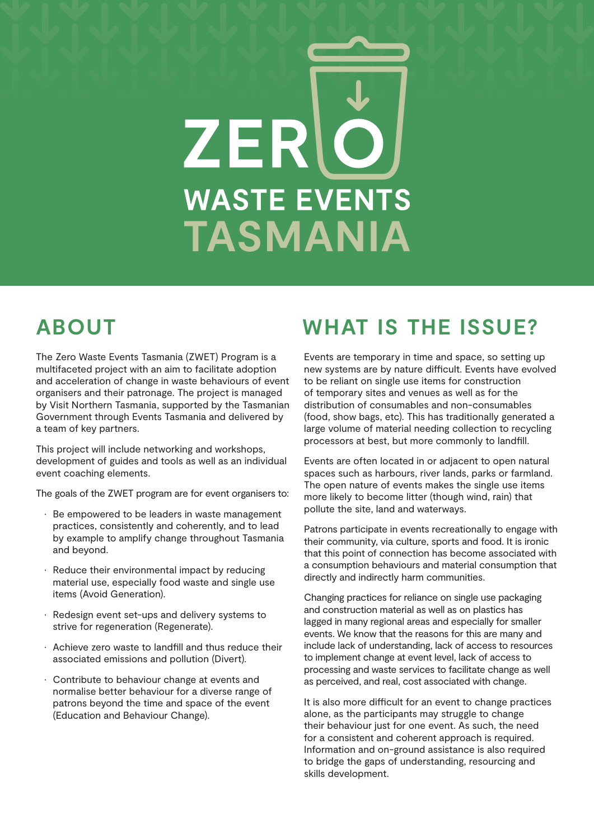# ZERI **WASTE EVENTS TASMANIA**

The Zero Waste Events Tasmania (ZWET) Program is a multifaceted project with an aim to facilitate adoption and acceleration of change in waste behaviours of event organisers and their patronage. The project is managed by Visit Northern Tasmania, supported by the Tasmanian Government through Events Tasmania and delivered by a team of key partners.

This project will include networking and workshops, development of guides and tools as well as an individual event coaching elements.

The goals of the ZWET program are for event organisers to:

- Be empowered to be leaders in waste management practices, consistently and coherently, and to lead by example to amplify change throughout Tasmania and beyond.
- Reduce their environmental impact by reducing material use, especially food waste and single use items (Avoid Generation).
- Redesign event set-ups and delivery systems to strive for regeneration (Regenerate).
- Achieve zero waste to landfill and thus reduce their associated emissions and pollution (Divert).
- Contribute to behaviour change at events and normalise better behaviour for a diverse range of patrons beyond the time and space of the event (Education and Behaviour Change).

## **ABOUT WHAT IS THE ISSUE?**

Events are temporary in time and space, so setting up new systems are by nature difficult. Events have evolved to be reliant on single use items for construction of temporary sites and venues as well as for the distribution of consumables and non-consumables (food, show bags, etc). This has traditionally generated a large volume of material needing collection to recycling processors at best, but more commonly to landfill.

Events are often located in or adjacent to open natural spaces such as harbours, river lands, parks or farmland. The open nature of events makes the single use items more likely to become litter (though wind, rain) that pollute the site, land and waterways.

Patrons participate in events recreationally to engage with their community, via culture, sports and food. It is ironic that this point of connection has become associated with a consumption behaviours and material consumption that directly and indirectly harm communities.

Changing practices for reliance on single use packaging and construction material as well as on plastics has lagged in many regional areas and especially for smaller events. We know that the reasons for this are many and include lack of understanding, lack of access to resources to implement change at event level, lack of access to processing and waste services to facilitate change as well as perceived, and real, cost associated with change.

It is also more difficult for an event to change practices alone, as the participants may struggle to change their behaviour just for one event. As such, the need for a consistent and coherent approach is required. Information and on-ground assistance is also required to bridge the gaps of understanding, resourcing and skills development.